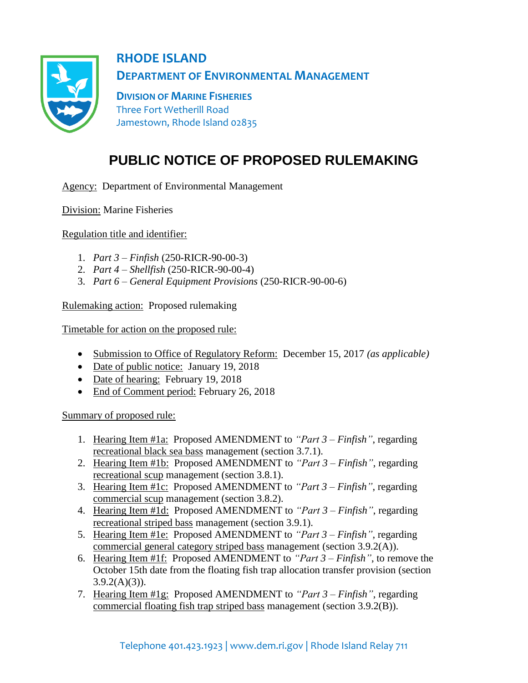

**RHODE ISLAND DEPARTMENT OF ENVIRONMENTAL MANAGEMENT**

**DIVISION OF MARINE FISHERIES** Three Fort Wetherill Road Jamestown, Rhode Island 02835

## **PUBLIC NOTICE OF PROPOSED RULEMAKING**

Agency: Department of Environmental Management

Division: Marine Fisheries

Regulation title and identifier:

- 1. *Part 3 – Finfish* (250-RICR-90-00-3)
- 2. *Part 4 – Shellfish* (250-RICR-90-00-4)
- 3. *Part 6 – General Equipment Provisions* (250-RICR-90-00-6)

Rulemaking action: Proposed rulemaking

Timetable for action on the proposed rule:

- Submission to Office of Regulatory Reform: December 15, 2017 *(as applicable)*
- Date of public notice: January 19, 2018
- Date of hearing: February 19, 2018
- End of Comment period: February 26, 2018

Summary of proposed rule:

- 1. Hearing Item #1a: Proposed AMENDMENT to *"Part 3 – Finfish"*, regarding recreational black sea bass management (section 3.7.1).
- 2. Hearing Item #1b: Proposed AMENDMENT to *"Part 3 – Finfish"*, regarding recreational scup management (section 3.8.1).
- 3. Hearing Item #1c: Proposed AMENDMENT to *"Part 3 – Finfish"*, regarding commercial scup management (section 3.8.2).
- 4. Hearing Item #1d: Proposed AMENDMENT to *"Part 3 – Finfish"*, regarding recreational striped bass management (section 3.9.1).
- 5. Hearing Item #1e: Proposed AMENDMENT to *"Part 3 – Finfish"*, regarding commercial general category striped bass management (section 3.9.2(A)).
- 6. Hearing Item #1f: Proposed AMENDMENT to *"Part 3 – Finfish"*, to remove the October 15th date from the floating fish trap allocation transfer provision (section  $3.9.2(A)(3)$ ).
- 7. Hearing Item #1g: Proposed AMENDMENT to *"Part 3 – Finfish"*, regarding commercial floating fish trap striped bass management (section 3.9.2(B)).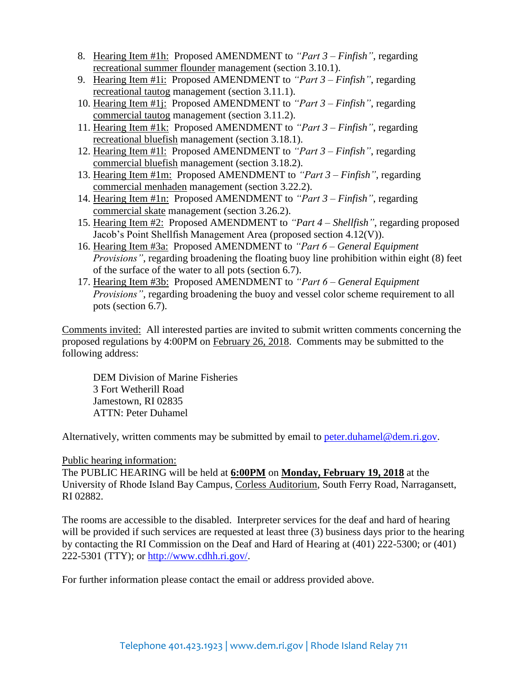- 8. Hearing Item #1h: Proposed AMENDMENT to *"Part 3 – Finfish"*, regarding recreational summer flounder management (section 3.10.1).
- 9. Hearing Item #1i: Proposed AMENDMENT to *"Part 3 – Finfish"*, regarding recreational tautog management (section 3.11.1).
- 10. Hearing Item #1j: Proposed AMENDMENT to *"Part 3 – Finfish"*, regarding commercial tautog management (section 3.11.2).
- 11. Hearing Item #1k: Proposed AMENDMENT to *"Part 3 – Finfish"*, regarding recreational bluefish management (section 3.18.1).
- 12. Hearing Item #1l: Proposed AMENDMENT to *"Part 3 – Finfish"*, regarding commercial bluefish management (section 3.18.2).
- 13. Hearing Item #1m: Proposed AMENDMENT to *"Part 3 – Finfish"*, regarding commercial menhaden management (section 3.22.2).
- 14. Hearing Item #1n: Proposed AMENDMENT to *"Part 3 – Finfish"*, regarding commercial skate management (section 3.26.2).
- 15. Hearing Item #2: Proposed AMENDMENT to *"Part 4 – Shellfish"*, regarding proposed Jacob's Point Shellfish Management Area (proposed section 4.12(V)).
- 16. Hearing Item #3a: Proposed AMENDMENT to *"Part 6 – General Equipment Provisions"*, regarding broadening the floating buoy line prohibition within eight (8) feet of the surface of the water to all pots (section 6.7).
- 17. Hearing Item #3b: Proposed AMENDMENT to *"Part 6 – General Equipment Provisions"*, regarding broadening the buoy and vessel color scheme requirement to all pots (section 6.7).

Comments invited: All interested parties are invited to submit written comments concerning the proposed regulations by 4:00PM on February 26, 2018. Comments may be submitted to the following address:

DEM Division of Marine Fisheries 3 Fort Wetherill Road Jamestown, RI 02835 ATTN: Peter Duhamel

Alternatively, written comments may be submitted by email to [peter.duhamel@dem.ri.gov.](mailto:peter.duhamel@dem.ri.gov)

Public hearing information:

The PUBLIC HEARING will be held at **6:00PM** on **Monday, February 19, 2018** at the University of Rhode Island Bay Campus, Corless Auditorium, South Ferry Road, Narragansett, RI 02882.

The rooms are accessible to the disabled. Interpreter services for the deaf and hard of hearing will be provided if such services are requested at least three (3) business days prior to the hearing by contacting the RI Commission on the Deaf and Hard of Hearing at (401) 222-5300; or (401) 222-5301 (TTY); or [http://www.cdhh.ri.gov/.](http://www.cdhh.ri.gov/)

For further information please contact the email or address provided above.